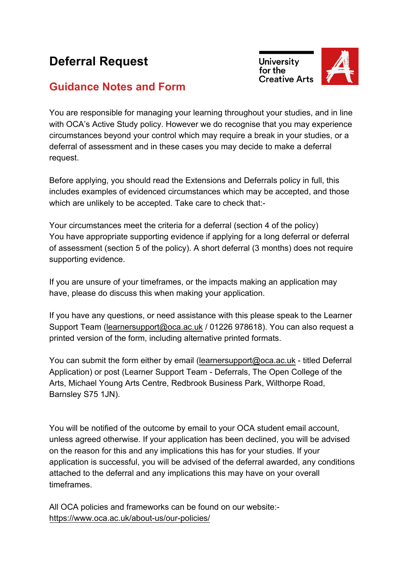## **Deferral Request**





### **Guidance Notes and Form**

You are responsible for managing your learning throughout your studies, and in line with OCA's Active Study policy. However we do recognise that you may experience circumstances beyond your control which may require a break in your studies, or a deferral of assessment and in these cases you may decide to make a deferral request.

Before applying, you should read the Extensions and Deferrals policy in full, this includes examples of evidenced circumstances which may be accepted, and those which are unlikely to be accepted. Take care to check that:-

Your circumstances meet the criteria for a deferral (section 4 of the policy) You have appropriate supporting evidence if applying for a long deferral or deferral of assessment (section 5 of the policy). A short deferral (3 months) does not require supporting evidence.

If you are unsure of your timeframes, or the impacts making an application may have, please do discuss this when making your application.

If you have any questions, or need assistance with this please speak to the Learner Support Team (learnersupport@oca.ac.uk / 01226 978618). You can also request a printed version of the form, including alternative printed formats.

You can submit the form either by email (learnersupport@oca.ac.uk - titled Deferral Application) or post (Learner Support Team - Deferrals, The Open College of the Arts, Michael Young Arts Centre, Redbrook Business Park, Wilthorpe Road, Barnsley S75 1JN).

You will be notified of the outcome by email to your OCA student email account, unless agreed otherwise. If your application has been declined, you will be advised on the reason for this and any implications this has for your studies. If your application is successful, you will be advised of the deferral awarded, any conditions attached to the deferral and any implications this may have on your overall timeframes.

All OCA policies and frameworks can be found on our website: https://www.oca.ac.uk/about-us/our-policies/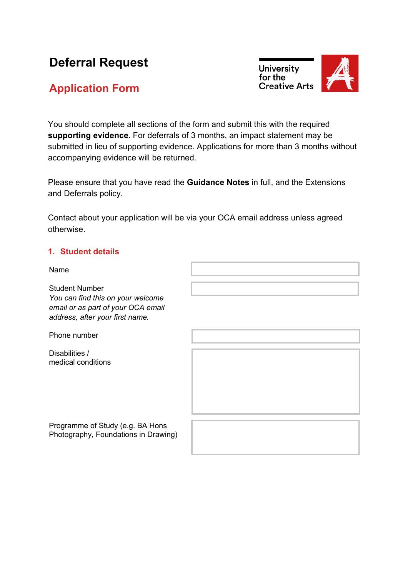# **Deferral Request**

## **Application Form**

**University** for the **Creative Arts** 



You should complete all sections of the form and submit this with the required **supporting evidence.** For deferrals of 3 months, an impact statement may be submitted in lieu of supporting evidence. Applications for more than 3 months without accompanying evidence will be returned.

Please ensure that you have read the **Guidance Notes** in full, and the Extensions and Deferrals policy.

Contact about your application will be via your OCA email address unless agreed otherwise.

#### **1. Student details**

Name

Student Number *You can find this on your welcome email or as part of your OCA email address, after your first name.*

Phone number

Disabilities / medical conditions

Programme of Study (e.g. BA Hons Photography, Foundations in Drawing)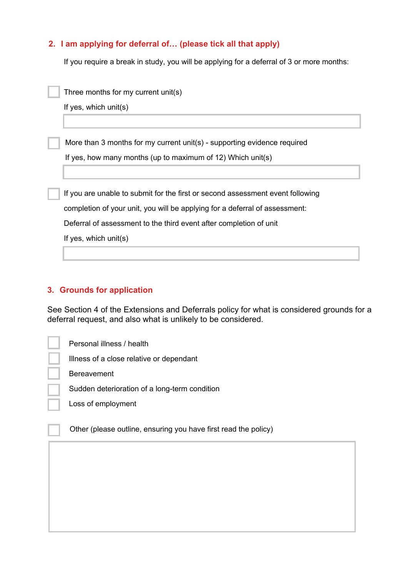### **2. I am applying for deferral of… (please tick all that apply)**

If you require a break in study, you will be applying for a deferral of 3 or more months:

| Three months for my current unit(s)                                            |
|--------------------------------------------------------------------------------|
| If yes, which $unit(s)$                                                        |
|                                                                                |
| More than 3 months for my current unit(s) - supporting evidence required       |
| If yes, how many months (up to maximum of 12) Which unit(s)                    |
|                                                                                |
| If you are unable to submit for the first or second assessment event following |
| completion of your unit, you will be applying for a deferral of assessment:    |
| Deferral of assessment to the third event after completion of unit             |
| If yes, which $unit(s)$                                                        |
|                                                                                |

#### **3. Grounds for application**

See Section 4 of the Extensions and Deferrals policy for what is considered grounds for a deferral request, and also what is unlikely to be considered.

Personal illness / health

Illness of a close relative or dependant

Bereavement

Sudden deterioration of a long-term condition

Loss of employment

Other (please outline, ensuring you have first read the policy)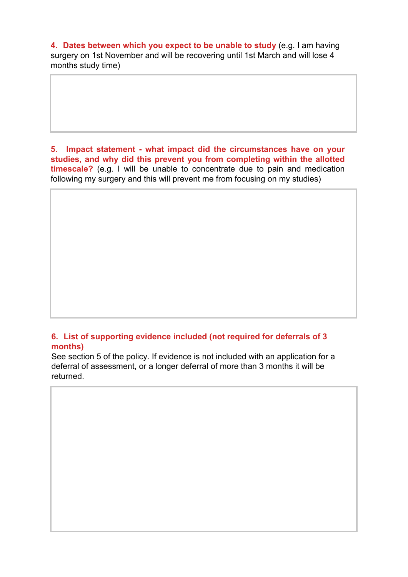**4. Dates between which you expect to be unable to study** (e.g. I am having surgery on 1st November and will be recovering until 1st March and will lose 4 months study time)

**5. Impact statement - what impact did the circumstances have on your studies, and why did this prevent you from completing within the allotted timescale?** (e.g. I will be unable to concentrate due to pain and medication following my surgery and this will prevent me from focusing on my studies)

#### **6. List of supporting evidence included (not required for deferrals of 3 months)**

See section 5 of the policy. If evidence is not included with an application for a deferral of assessment, or a longer deferral of more than 3 months it will be returned.